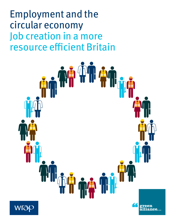Employment and the circular economy Job creation in a more resource efficient Britain

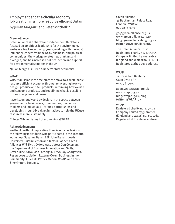# **Employment and the circular economy** Job creation in a more resource efficient Britain by Julian Morgan\* and Peter Mitchell\*\*

### **Green Alliance**

Green Alliance is a charity and independent think tank focused on ambitious leadership for the environment. We have a track record of 35 years, working with the most influential leaders from the NGO, business, and political communities. Our work generates new thinking and dialogue, and has increased political action and support for environmental solutions in the UK.

\*Julian Morgan is Green Alliance's chief economist.

#### **WRAP**

WRAP's mission is to accelerate the move to a sustainable resource efficient economy through reinventing how we design, produce and sell products, rethinking how we use and consume products, and redefining what is possible through recycling and reuse.

It works, uniquely and by design, in the space between governments, businesses, communities, innovative thinkers and individuals – forging partnerships and developing ground-breaking initiatives to help the UK use resources more sustainably.

\*\*Peter Mitchell is head of economics at WRAP.

#### **Acknowledgements**

We thank, without implicating them in our conclusions, the following individuals who participated in the scenario workshop: Susanne Baker, EEF; John Barrett, Leeds University; Dustin Benton and Tamsin Cooper, Green Alliance; Will Blyth, Oxford Associates; Dan Coleman, the Department of Business Innovation and Skills; Gev Eduljee, SITA; Josh Fothergill, IEMA; Ray Georgeson, Resource Association; Roxarne Owen, Business in the Community; Julie Hill; Patrick Mahon, WRAP; and Chris Sherrington, Eunomia.

Green Alliance 36 Buckingham Palace Road London SW1W 0RE 020 7233 7433

ga@green-alliance.org.uk www.green-alliance.org.uk blog: greenallianceblog.org.uk twitter: @GreenAllianceUK

The Green Alliance Trust Registered charity no. 1045395 Company limited by guarantee (England and Wales) no. 3037633 Registered at the above address

#### WRAP

21 Horse Fair, Banbury Oxon OX16 0AH 01295 819900

aboutwrap@wrap.org.uk www.wrap.org.uk blog: wrap.org.uk/blog twitter:@WRAP\_UK

#### WRAP

Registered charity no. 1159512 Company limited by guarantee (England and Wales) no. 4125764 Registered at the above address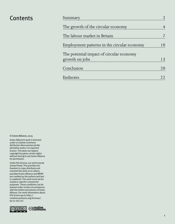| Contents | Summary                                                    |    |
|----------|------------------------------------------------------------|----|
|          | The growth of the circular economy                         | 4  |
|          | The labour market in Britain                               |    |
|          | Employment patterns in the circular economy                | 10 |
|          | The potential impact of circular economy<br>growth on jobs | 13 |
|          | Conclusion                                                 | 20 |
|          | Endnotes                                                   | 22 |
|          |                                                            |    |

© Green Alliance, 2015

Green Alliance's work is licensed under a Creative Commons Attribution-Noncommercial-No derivative works 3.0 unported licence. This does not replace copyright but gives certain rights without having to ask Green Alliance for permission.

Under this licence, our work may be shared freely. This provides the freedom to copy, distribute and transmit this work on to others, provided Green Alliance and WRAP are credited as the authors and text is unaltered. This work must not be resold or used for commercial purposes. These conditions can be waived under certain circumstances with the written permission of Green Alliance. For more information about this licence go to http:// creativecommons.org/licenses/ by-nc-nd/3.0/

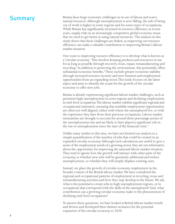# **Summary**

Britain faces huge economic challenges in its use of labour and scarce natural resources. Although unemployment is now falling, the risk of being out of work is higher in some regions and for some types of occupations. While Britain has significantly increased its resource efficiency in recent years, supply risks in an increasingly competitive global economy mean that we need to get better at using natural resources.<sup>1</sup> The analysis in this study shows that these challenges are linked, as improving our resource efficiency can make a valuable contribution to improving Britain's labour market situation.

One route to improving resource efficiency is to develop what is known as a 'circular economy'. This involves keeping products and resources in use for as long as possible through recovery, reuse, repair, remanufacturing and recycling.<sup>2</sup> In addition to protecting the environment, this potentially offers substantial economic benefits.<sup>3</sup> These include greater economic stability through increased resource security and new business and employment opportunities from an expanding sector. This study focuses on the latter aspect and aims to identify the scope for the growth of the circular economy to offer new jobs.

Britain is already experiencing significant labour market challenges, such as persistent high unemployment in some regions and declining employment in mid-level occupations. The labour market exhibits significant regional and occupational mismatch, meaning that available employment opportunities are often not well aligned, either with where the unemployed live, or with the experience they have from their previous occupations. Labour market mismatches are thought to account for around three percentage points of the unemployment rate and are likely to have played a significant role in the rise in unemployment since the start of the financial crisis.<sup>4</sup>

Unlike many studies in this area, we have not limited our analysis to a simple quantification of the number of jobs that could be created in an expanded circular economy. Although such calculations are useful to give a sense of the employment needs of a growing sector, they are not informative about the opportunity for improving the national labour market situation. They tend to ignore how the growth will interact with other parts of the economy, ie whether new jobs will be genuinely additional and reduce unemployment, or whether they will simply displace existing ones.

Instead, we place the growth of circular economy employment in the broader context of the British labour market. We have considered the regional and occupational patterns of employment in recycling, reuse and remanufacturing activities and how they may develop in the future. We ask, what is the potential to create jobs in high unemployment regions, or in occupations that correspond with the skills of the unemployed? And, what contribution can a growing circular economy make to the phenomenon of declining mid-level occupations?

To answer these questions, we have looked at British labour market trends and drivers and developed three distinct scenarios for the potential expansion of the circular economy to 2030.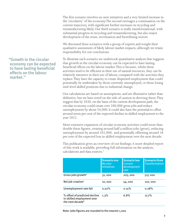The first scenario involves no new initiatives and a very limited increase in the 'circularity' of the economy. The second envisages a continuation on the current trajectory, with significant further increases in recycling and remanufacturing likely. Our third scenario is really transformational, with substantial progress in recycling and remanufacturing, but also major development of the reuse, servitisation and biorefining sectors.

We discussed these scenarios with a group of experts and sought their qualitative assessment of likely labour market impacts, although we retain responsibility for our conclusions.

To illustrate each scenario we undertook quantitative analysis that suggests that growth in the circular economy can be expected to have lasting beneficial effects on the labour market. This is because, whilst these activities tend to be efficient in their use of natural resources, they can be relatively intensive in their use of labour, compared with the activities they replace. They have the capacity to create dispersed employment that could potentially be undertaken by those currently unemployed, or those losing mid-level skilled positions due to industrial change.

Our calculations are based on assumptions, and are illustrative rather than definitive, but we have erred on the side of caution in deriving them. They suggest that by 2030, on the basis of the current development path, the circular economy could create over 200,000 gross jobs and reduce unemployment by about 54,000. It could also have the potential to offset around seven per cent of the expected decline in skilled employment to the year 2022.

More extensive expansion of circular economy activities could more than double these figures, creating around half a million jobs (gross), reducing unemployment by around 102,000, and potentially offsetting around 18 per cent of the expected loss in skilled employment over the next decade.

This publication gives an overview of our findings. A more detailed report of this work is available, providing full information on the analysis, calculations and data sources.<sup>5</sup>

|                                                                                             | <b>Scenario one</b><br>No new<br><i>initiatives</i> | <b>Scenario two</b><br>Current<br>development<br>rate | <b>Scenario three</b><br><b>Transformation</b> |
|---------------------------------------------------------------------------------------------|-----------------------------------------------------|-------------------------------------------------------|------------------------------------------------|
| Gross jobs growth <sup>6</sup>                                                              | 31,000                                              | 205,000                                               | 517,000                                        |
| Net job creation <sup>7</sup>                                                               | 10,000                                              | 54,000                                                | 102,000                                        |
| Unemployment rate fall                                                                      | 0.02%                                               | 0.15%                                                 | 0.28%                                          |
| % offset of predicted decline<br>in skilled employment over<br>the next decade <sup>8</sup> | 1.3%                                                | 6.8%                                                  | 17.7%                                          |

**"Growth in the circular economy can be expected to have lasting beneficial effects on the labour market."**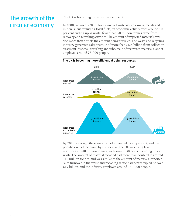# The growth of the circular economy

The UK is becoming more resource efficient.

In 2000, we used 570 million tonnes of materials (biomass, metals and minerals, but excluding fossil fuels) in economic activity, with around 40 per cent ending up as waste; fewer than 50 million tonnes came from recovery and recycling activities. The amount of imported materials was also more than double the amount being recycled. The waste and recycling industry generated sales revenue of more than  $£6.5$  billion from collection, treatment, disposal, recycling and wholesale of recovered materials, and it employed around 75,000 people.



By 2010, although the economy had expanded by 20 per cent, and the population had increased by six per cent, the UK was using fewer resources, at 540 million tonnes, with around 30 per cent ending up as waste. The amount of material recycled had more than doubled to around 115 million tonnes, and was similar to the amount of materials imported. Sales turnover in the waste and recycling sector had nearly tripled, to over  $£19$  billion, and the industry employed around 130,000 people.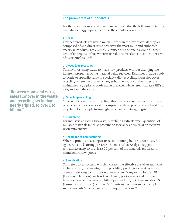### The parameters of our analysis

For the scope of our analysis, we have assumed that the following activities, excluding energy inputs, comprise the circular economy:<sup>9</sup>

#### **1 Reuse**

Finished products are worth much more than the raw materials they are composed of and direct reuse preserves the most value and embodied energy in products. For example, a reused iPhone retains around 48 per cent of its original value, whereas its value as recyclate is just 0.24 per cent of its original value.<sup>10</sup>

#### **2 Closed loop recycling**

This involves using waste to make new products without changing the inherent properties of the material being recycled. Examples include bottle to bottle or speciality alloy to speciality alloy recycling. It can also cover recycling where the product changes but the quality of the material is maintained, eg a plastic bottle made of polyethylene terephthalate (PET) to a toy made of the same.

#### **3 Open loop recycling**

Otherwise known as downcycling, this uses recovered materials to create products that have lower value compared to those produced in closed loop recycling, for example turning glass containers into aggregate.

#### **4 Biorefining**

For industries creating biowaste, biorefining extracts small quantities of valuable materials (such as proteins or speciality chemicals) or converts waste into energy.

#### **5 Repair and remanufacturing**

Where a product needs repair or reconditioning before it can be used again, remanufacturing preserves the most value. Analysis suggests remanufacturing saves at least 70 per cent of the materials required to manufacture new goods.<sup>11</sup>

#### **6 Servitisation**

This refers to any system which increases the effective use of assets. It can include leasing and moving from providing products to services instead, thereby deferring consumption of new assets. Many examples are B2B (business to business), such as Xerox leasing photocopiers and printers, Interface's carpet business or Philips 'pay per Lux', but there are also B2C (business to customer) or even C2C (customer to customer) examples, such as Airbnb, Streetcar and Campinmygarden.com.<sup>12</sup>

**"Between 2000 and 2010, sales turnover in the waste and recycling sector had nearly tripled, to over £19 billion."**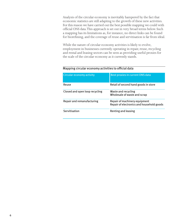Analysis of the circular economy is inevitably hampered by the fact that economic statistics are still adapting to the growth of these new activities. For this reason we have carried out the best possible mapping we could with official ONS data. This approach is set out in very broad terms below. Such a mapping has its limitations as, for instance, no direct links can be found for biorefining, and the coverage of reuse and servitisation is far from ideal.

While the nature of circular economy activities is likely to evolve, employment in businesses currently operating in repair, reuse, recycling and rental and leasing sectors can be seen as providing useful proxies for the scale of the circular economy as it currently stands.

# Mapping circular economy activities to official data

| Circular economy activity      | Best proxies in current ONS data                                           |
|--------------------------------|----------------------------------------------------------------------------|
| Reuse                          | Retail of second hand goods in store                                       |
| Closed and open loop recycling | Waste and recycling<br>Wholesale of waste and scrap                        |
| Repair and remanufacturing     | Repair of machinery equipment<br>Repair of electronics and household goods |
| Servitisation                  | Renting and leasing                                                        |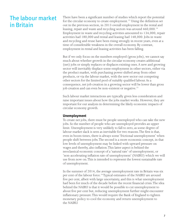# The labour market in Britain

There have been a significant number of studies which report the potential for the circular economy to create employment.<sup>13</sup> Using the definition set out in the previous section, in 2013 overall employment in the rental and leasing, repair and waste and recycling sectors was around 460,000.<sup>14</sup> Employment in waste and recycling activities amounted to 134,000, repair activities had 180,000 and rental and leasing had 148,000. Jobs in waste and recycling and reuse have been rising strongly in recent years, even at a time of considerable weakness in the overall economy. By contrast, employment in rental and leasing activities has been falling.

But if we only focus on the numbers employed (gross jobs), we cannot say much about whether growth in the circular economy creates additional (net) jobs or simply replaces or displaces existing ones. A new and growing sector will inevitably displace some employment in other sectors, either via the product market, with purchasing power shifted away from other products, or via the labour market, with the new sector out competing other sectors for the limited pool of suitably qualified labour. As a consequence, net job creation in a growing sector will be lower than gross job creation and can even be non-existent or negative.<sup>15</sup>

Such labour market interactions are typically given less consideration and raise important issues about how the jobs market works. However, they are important for our analysis in determining the likely economic impacts of circular economy growth.

# **Unemployment**

To create net jobs, there must be people unemployed who can take the new jobs. So the number of people who are unemployed provides an upper limit. Unemployment is very unlikely to fall to zero, as some degree of labour market slack is seen as inevitable for two reasons. The first is that, even in boom times, there is always some 'frictional unemployment' when people shift between jobs. The second is a more economic concept, in that low levels of unemployment may be linked with upward pressure on wages and thereby, also inflation. This latter aspect is behind the neoclassical economic concept of a 'natural rate' of unemployment, or 'non-accelerating inflation rate of unemployment' (NAIRU) which we will use from now on. This is intended to represent the lowest sustainable rate of unemployment.

In the summer of 2014, the average unemployment rate in Britain was six per cent of the labour force.<sup>16</sup> Typical estimates of the NAIRU are around five per cent, albeit with large uncertainty, and this is what unemployment had been for much of the decade before the recent financial crisis. The idea behind the NAIRU is that it would be possible to cut unemployment to about five per cent but, reducing unemployment further might encounter inflationary pressure. This would require the Bank of England to tighten monetary policy to cool the economy and return unemployment to the NAIRU.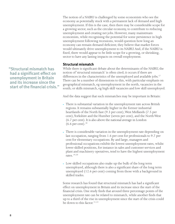The notion of a NAIRU is challenged by some economists who see the economy as potentially stuck with a permanent lack of demand and high unemployment. If this is the case, then there may be considerable scope for a growing sector, such as the circular economy, to contribute to reducing unemployment and creating net jobs. However, many mainstream economists, while recognising the potential for some persistence in high unemployment following recessions, would question how long an economy can remain demand deficient; they believe that market forces would ultimately drive unemployment to its NAIRU. And, if the NAIRU is fixed, there would appear to be little scope for a growing, or shrinking, sector to have any lasting impacts on overall employment.

### **Structural mismatch**

While there is significant debate about the determinants of the NAIRU, the notion of 'structural mismatch' is often cited; it occurs if there are differences in the characteristics of the unemployed and available jobs.<sup>17</sup> There can be a number of dimensions to this, with particular emphasis on geographical mismatch, eg unemployment in the north, vacancies in the south; or skills mismatch, eg high skill vacancies and low skill unemployed.

And the data suggest that such mismatches may be important in Britain:

- There is substantial variation in the unemployment rate across British regions. It remains substantially higher in the former industrial heartlands of the North East (9.3 per cent), West Midlands (7.5 per cent), Yorkshire and the Humber (seven per cent), and the North West (6.7 per cent). It is also above the national average in London  $(6.6 \,\mathrm{per\,cent})$ .<sup>18</sup>
- There is considerable variation in the unemployment rate depending on last occupation, ranging from 1.6 per cent for professionals to 9.7 per cent for elementary occupations. By and large, managers and professional occupations exhibit the lowest unemployment rates, whilst lower skilled positions, for instance in sales and customer services and plant and machinery operatives, tend to have the highest unemployment rates $19,20$
- Low skilled occupations also make up the bulk of the long term unemployed, although there is also a significant share of the long term unemployed (12.6 per cent) coming from those with a background in skilled trades.

Some research has found that structural mismatch has had a significant effect on unemployment in Britain and its increase since the start of the financial crisis. One study finds that around three percentage points of the unemployment rate can be related to mismatch, while another finds that up to a third of the rise in unemployment since the start of the crisis could be down to this factor. 21,22

**"Structural mismatch has had a significant effect on unemployment in Britain and its increase since the start of the financial crisis."**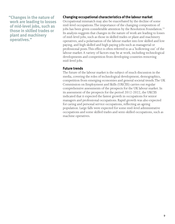**"Changes in the nature of work are leading to losses of mid-level jobs, such as those in skilled trades or plant and machinery operatives."**

# **Changing occupational characteristics of the labour market**

Occupational mismatch may also be exacerbated by the decline of some mid-level occupations. The importance of the changing composition of jobs has been given considerable attention by the Resolution Foundation.<sup>23</sup> Its analysis suggests that changes in the nature of work are leading to losses of mid-level jobs, such as those in skilled trades or plant and machinery operatives, and a polarisation of the labour market into low skilled and low paying, and high skilled and high paying jobs such as managerial or professional posts. This effect is often referred to as a 'hollowing out' of the labour market. A variety of factors may be at work, including technological developments and competition from developing countries removing mid-level jobs.

# **Future trends**

The future of the labour market is the subject of much discussion in the media, covering the roles of technological development, demographics, competition from emerging economies and general societal trends. The UK Commission on Employment and Skills (UKCES) carries out regular comprehensive assessments of the prospects for the UK labour market. In its assessment of the prospects for the period 2012-2022, the UKCES indicated that it expected the fastest growth in occupations for senior managers and professional occupations. Rapid growth was also expected for caring and personal service occupations, reflecting an ageing population. Large falls were expected for some mid-level administrative occupations and some skilled trades and semi-skilled occupations, such as machine operatives.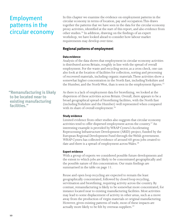# Employment patterns in the circular economy

**"Remanufacturing is likely to be located near to existing manufacturing facilities."**

In this chapter we examine the evidence on employment patterns in the circular economy in terms of location, pay and occupation.This draws together the patterns that we have seen in the data for the circular economy proxy activities, identified at the start of this report, and also evidence from other studies.24 In addition, drawing on the findings of an expert workshop, we have looked ahead to consider how labour market requirements may develop over time.

# **Regional patterns of employment**

# **Data evidence**

Analysis of the data shows that employment in circular economy activities is distributed across Britain, roughly in line with the spread of overall employment. For the waste and recycling sector, as a cross check, one can also look at the location of facilities for collection, sorting and processing of recovered materials, including organic materials. These activities show a somewhat higher concentration in the North East, including Yorkshire and the Humber, and the North West, than is seen in the employment figures.<sup>25</sup>

As there is a lack of employment data for biorefining, we looked at the dispersion of these activities across Britain. Overall, there appears to be a broad geographical spread of biorefining facilities, with the North East (including Yorkshire and the Humber) well represented when compared with its share of overall employment.<sup>26</sup>

# **Study evidence**

Limited evidence from other studies also suggests that circular economy activities tend to offer dispersed employment across the country.<sup>27</sup> An interesting example is provided by WRAP Cymru's Accelerating Reprocessing Infrastructure Development (ARID) project, funded by the European Regional Development Fund through the Welsh government. WRAP Cymru has collected evidence of around 60 gross jobs created to date and there is a spread of employment across Wales.<sup>28</sup>

# **Expert evidence**

With a group of experts we considered possible future developments and the extent to which jobs are likely to be concentrated geographically and the possible nature of this concentration. Our main findings are summarised in the table on page 11.

Reuse and open loop recycling are expected to remain the least geographically concentrated, followed by closed loop recycling, servitisation and biorefining, requiring activity across the country. By contrast, remanufacturing is likely to be somewhat more concentrated, for instance located near to existing manufacturing facilities. Most activities may lead to some displacement of activity in other areas, such as a move away from the production of virgin materials or original manufacturing. However, given existing patterns of trade, most of these impacts are actually more likely to be felt by overseas suppliers.<sup>29</sup>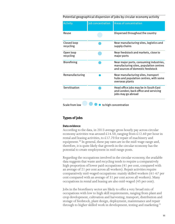#### Potential geographical dispersion of jobs by circular economy activity

| <b>Activity</b>          | Job concentration | <b>Areas of concentration</b>                                                                                           |
|--------------------------|-------------------|-------------------------------------------------------------------------------------------------------------------------|
| Reuse                    |                   | Dispersed throughout the country                                                                                        |
| Closed loop<br>recycling |                   | Near manufacturing sites, logistics and<br>supply chains                                                                |
| Open loop<br>recycling   |                   | Near feedstock and markets, close to<br>major ports                                                                     |
| <b>Biorefining</b>       |                   | Near major ports, consuming industries,<br>manufacturing sites, population centres<br>and sources of domestic feedstock |
| Remanufacturing          |                   | Near manufacturing sites, transport<br>hubs and population centres, with some<br>overseas plants                        |
| Servitisation            |                   | Head office jobs may be in South East<br>and London; back office and servicing<br>jobs may go abroad                    |
| Scale from low           |                   | to high concentration                                                                                                   |

# **Types of jobs**

#### **Data evidence**

According to the data, in 2013 average gross hourly pay across circular economy activities was around £14.50, ranging from £12.60 per hour in rental and leasing activities, to £17.70 for repair of machinery and equipment.<sup>30</sup> In general, these pay rates are in the mid-wage range and, therefore, it is quite likely that growth in the circular economy has the potential to create employment in mid-range posts.

Regarding the occupations involved in the circular economy, the available data suggests that waste and recycling tends to require a comparatively high proportion of lower paid occupations (41 per cent, compared with an average of 21 per cent across all workers). Repair activities require comparatively mid-waged occupations: mainly skilled workers (61-67 per cent compared with an average of 31 per cent across all workers). Many occupations in rental and leasing are also mid-waged (45 per cent).

Jobs in the biorefinery sector are likely to offer a very broad mix of occupations with low to high skill requirements, ranging from plant and crop development, cultivation and harvesting, transport, distribution and storage of feedstock, plant design, deployment, maintenance and repair through to higher skilled work in development, testing and marketing.<sup>31</sup>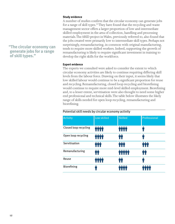# **"The circular economy can generate jobs for a range of skill types."**

#### **Study evidence**

A number of studies confirm that the circular economy can generate jobs for a range of skill types.32 They have found that the recycling and waste management sector offers a larger proportion of low and intermediate skilled employment in the area of collection, handling and processing materials. The ARID project in Wales, previously referred to, also found that the jobs created were primarily low to intermediate skill types. Perhaps not surprisingly, remanufacturing, in common with original manufacturing, tends to require more skilled workers. Indeed, supporting the growth of remanufacturing is likely to require significant investment in training to develop the right skills for the workforce.

#### **Expert evidence**

The experts we consulted were asked to consider the extent to which circular economy activities are likely to continue requiring differing skill levels from the labour force. Drawing on their input, it seems likely that low skilled labour would continue to be a significant proportion for reuse and recycling. Remanufacturing, closed loop recycling and biorefining would continue to require more mid-level skilled employment. Biorefining and, to a lesser extent, servitisation were also thought to need some higher end professional and technical skills. The table below illustrates the likely range of skills needed for open loop recycling, remanufacturing and biorefining.

| <b>Activity</b>       | Low skilled        | <b>Skilled</b>     | Professional |
|-----------------------|--------------------|--------------------|--------------|
| Closed loop recycling | <b>Qio Qio Qio</b> | www                | Ŵ            |
| Open loop recycling   | <b><i>MAND</i></b> | ŤŤ                 | Ŵ            |
| Servitisation         | <b><i>MAN</i></b>  | ŤŤŤ                |              |
| Remanufacturing       | ŤŤ                 | rin rin rin rin ri | m            |
| Reuse                 | m mn mn m          | ŤŤ                 | Ť            |
| <b>Biorefining</b>    |                    |                    |              |

#### Potential skill needs by circular economy activity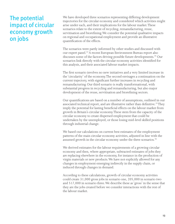# The potential impact of circular economy growth on jobs

We have developed three scenarios representing differing development trajectories for the circular economy and considered which activities might arise under each, and their implications for the labour market. These scenarios relate to the extent of recycling, remanufacturing, reuse, servitisation and biorefining. We consider the potential qualitative impacts on regional and occupational employment and provide an illustrative quantification of the effects.

The scenarios were partly informed by other studies and discussed with our expert panel.33 A recent European Environment Bureau report also discusses some of the factors driving possible future developments.<sup>34</sup> Our scenarios link directly with the circular economy activities identified for this analysis, and their associated labour market impacts.

The first scenario involves no new initiatives and a very limited increase in the 'circularity' of the economy. The second envisages a continuation on the current trajectory, with significant further increases in recycling and remanufacturing. Our third scenario is really transformational, with substantial progress in recycling and remanufacturing, but also major development of the reuse, servitisation and biorefining sectors.

Our quantifications are based on a number of assumptions, outlined in our associated technical report, and are illustrative rather than definitive.<sup>35</sup>They imply the potential for lasting beneficial effects on the labour market from growth in Britain's circular economy. These stem from the capacity of the circular economy to create dispersed employment that could be undertaken by the unemployed, or those losing mid-level skilled positions through industrial change.

We based our calculations on current best estimates of the employment patterns of the main circular economy activities, adjusted in line with the assumed growth in the circular economy under the three scenarios.<sup>36</sup>

We derived estimates for the labour requirements of a growing circular economy and then, where appropriate, subtracted estimates of jobs they are replacing elsewhere in the economy, for instance in the production of virgin materials or new products. We have not explicitly allowed for any changes in employment emerging indirectly in the supply chain, or induced through changes in demand.

According to these calculations, growth of circular economy activities could create 31,000 gross jobs in scenario one, 205,000 in scenario two and 517,000 in scenario three. We describe these as 'gross' in the sense that they are the jobs created before we consider interactions with the rest of the labour market.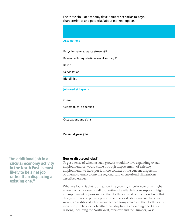The three circular economy development scenarios to 2030: characteristics and potential labour market impacts

| <b>Assumptions</b>                                       |  |
|----------------------------------------------------------|--|
| Recycling rate (all waste streams) <sup>37</sup>         |  |
| Remanufacturing rate (in relevant sectors) <sup>38</sup> |  |
| Reuse                                                    |  |
| Servitisation                                            |  |
| Biorefining                                              |  |
|                                                          |  |
| <b>Jobs market impacts</b>                               |  |
| Overall                                                  |  |
| Geographical dispersion                                  |  |
|                                                          |  |
| Occupations and skills                                   |  |
|                                                          |  |
| <b>Potential gross jobs</b>                              |  |

**"An additional job in a circular economy activity in the North East is most likely to be a net job rather than displacing an existing one."**

# **New or displaced jobs?**

To get a sense of whether such growth would involve expanding overall employment, or would come through displacement of existing employment, we have put it in the context of the current dispersion of unemployment along the regional and occupational dimensions described earlier.

What we found is that job creation in a growing circular economy might amount to only a very small proportion of available labour supply in high unemployment regions such as the North East, so it is much less likely that this growth would put any pressure on the local labour market. In other words, an additional job in a circular economy activity in the North East is most likely to be a net job rather than displacing an existing one. Other regions, including the North West, Yorkshire and the Humber, West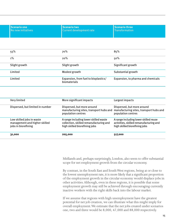| <b>Scenario one</b> | <b>I</b> Scenario two    | l <b>I</b> Scenario three ' |
|---------------------|--------------------------|-----------------------------|
| No new initiatives  | Current development rate | <b>Transformation</b>       |
|                     |                          |                             |

| 55%           | 70%                                                  | 85%                                |
|---------------|------------------------------------------------------|------------------------------------|
| 1%            | 20%                                                  | 50%                                |
| Slight growth | Slight growth                                        | Significant growth                 |
| Limited       | Modest growth                                        | Substantial growth                 |
| Limited       | Expansion, from fuel to bioplastics/<br>biomaterials | Expansion, to pharma and chemicals |
|               |                                                      |                                    |

| Very limited                                                                      | More significant impacts                                                                                          | Largest impacts                                                                                                   |
|-----------------------------------------------------------------------------------|-------------------------------------------------------------------------------------------------------------------|-------------------------------------------------------------------------------------------------------------------|
| Dispersed, but limited in number                                                  | Dispersed, but more around<br>manufacturing sites, transport hubs and<br>population centres                       | Dispersed, but more around<br>manufacturing sites, transport hubs and<br>population centres                       |
| Low skilled jobs in waste<br>management and higher skilled<br>jobs in biorefining | A range including lower skilled waste<br>collection, skilled remanufacturing and<br>high skilled biorefining jobs | A range including lower skilled reuse<br>activities, skilled remanufacturing and<br>high skilled biorefining jobs |
| 31,000                                                                            | 205,000                                                                                                           | 517,000                                                                                                           |

Midlands and, perhaps surprisingly, London, also seem to offer substantial scope for net employment growth from the circular economy.

By contrast, in the South East and South West regions, being at or close to the lowest unemployment rate, it is more likely that a significant proportion of the employment growth in the circular economy would displace jobs in other activities. Although, even in these regions, it is possible that some employment growth may still be achieved through encouraging currently inactive workers with the right skills back into the labour market.

If we assume that regions with high unemployment have the greatest potential for net job creation, we can illustrate what this might imply for overall employment. We estimate that the net jobs created under scenarios one, two and three would be 8,000, 47,000 and 88,000 respectively.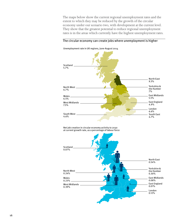The maps below show the current regional unemployment rates and the extent to which they may be reduced by the growth of the circular economy under our scenario two, with development at the current level. They show that the greatest potential to reduce regional unemployment rates is in the areas which currently have the highest unemployment rates.

#### The circular economy can create jobs where unemployment is higher



Unemployment rate in UK regions, June-August 2014

Net job creation in circular economy activity to 2030 at current growth rate, as a percentage of labour force

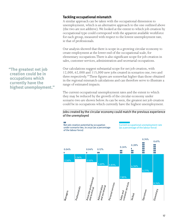# **Tackling occupational mismatch**

A similar approach can be taken with the occupational dimension to unemployment, which is an alternative approach to the one outlined above (the two are not additive). We looked at the extent to which job creation by occupational type could correspond with the apparent available workforce for each group, measured with respect to the lowest unemployment rate, ie that of professionals.

Our analysis showed that there is scope in a growing circular economy to create employment at the lower end of the occupational scale, for elementary occupations. There is also significant scope for job creation in sales, customer services, administration and secretarial occupations.

Our calculations suggest substantial scope for net job creation, with 12,000, 62,000 and 115,000 new jobs created in scenarios one, two and three respectively.39 These figures are somewhat higher than those obtained in the regional mismatch calculations and can therefore serve to illustrate a range of estimated impacts.

The current occupational unemployment rates and the extent to which they may be reduced by the growth of the circular economy under scenario two are shown below. As can be seen, the greatest net job creation could be in occupations which currently have the highest unemployment.

#### Jobs created by the circular economy could match the previous experience of the unemployed

ŶŶŶ

Net job creation potential by occupation under scenario two, to 2030 (as a percentage of the labour force)

Current occupational unemployment rate (as a percentage of the labour force)



**"The greatest net job creation could be in occupations which currently have the highest unemployment."**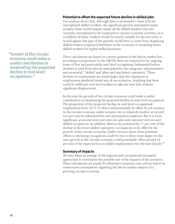**"Growth of the circular economy could make a useful contribution to moderating the projected decline in mid-level occupations."**

# **Potential to offset the expected future decline in skilled jobs**

Our analysis shows that, although there is potential to create jobs for unemployed skilled workers, the significant growth anticipated under scenario three would require nearly all the skilled workers who are currently unemployed to be employed in circular economy activities. As it is unlikely all these workers would be exactly suitable for the new jobs, it would appear that part of the growth would have to come from displacing skilled workers employed elsewhere in the economy or retraining lower skilled workers for higher skilled positions.

These calculations are based on current patterns in the labour market but, according to projections by the UKCES, there are expected to be ongoing losses of low and particularly mid-level occupations. Substantial further declines in mid-level jobs are anticipated for the categories 'administrative and secretarial', 'skilled' and 'plant and machinery operatives'. These declines in employment are much larger than the expansion in employment predicted under any of our scenarios, implying that there could be sufficient mid-level workers to take the new jobs without significant displacement.

In this way the growth of the circular economy could make a useful contribution to moderating the projected decline in mid-level occupations. The proportion of the projected decline in mid-level occupational employment from 2012-22 that could potentially be offset by job creation in the circular economy under scenario two is relatively modest, at around two per cent for administrative and secretarial occupations. But it is more significant, at around seven per cent, for sales and customer services and skilled occupations. In addition, there is the potential for 11 per cent of the decline in the lower skilled 'operatives' occupations to be offset by the growth of the circular economy. Under scenario three, these potential offsets to declining occupations could be two to three times larger. In this case, growth in the circular economy could potentially offset around 18 per cent of the expected loss in skilled employment over the next decade.<sup>40</sup>

# **Summary of impacts**

We have taken an average of the regional and occupational mismatch approaches to summarise the possible size of the impacts of the scenarios. These calculations are purely for illustrative purposes only and are based on conservative assumptions regarding the labour market impacts of a growing circular economy.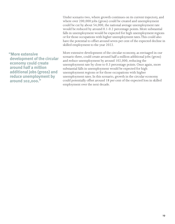Under scenario two, where growth continues on its current trajectory, and where over 200,000 jobs (gross) could be created and unemployment could be cut by about 54,000, the national average unemployment rate would be reduced by around 0.1-0.2 percentage points. More substantial falls in unemployment would be expected for high unemployment regions or for those occupations with higher unemployment rates. This could also have the potential to offset around seven per cent of the expected decline in skilled employment to the year 2022.

**"More extensive development of the circular economy could create around half a million additional jobs (gross) and reduce unemployment by around 102,000."**

More extensive development of the circular economy, as envisaged in our scenario three, could create around half a million additional jobs (gross) and reduce unemployment by around 102,000, reducing the unemployment rate by close to 0.3 percentage points. Once again, more substantial falls in unemployment would be expected for high unemployment regions or for those occupations with higher unemployment rates. In this scenario, growth in the circular economy could potentially offset around 18 per cent of the expected loss in skilled employment over the next decade.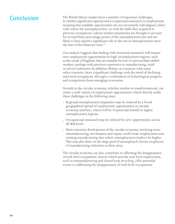Conclusion The British labour market faces a number of important challenges. It exhibits significant regional and occupational mismatch in employment, meaning that available opportunities are not necessarily well aligned, either with where the unemployed live, or with the skills they acquired in previous occupations. Labour market mismatches are thought to account for around three percentage points of the unemployment rate and are likely to have played a significant role in the rise in unemployment since the start of the financial crisis. $41$ 

> Our analysis suggests that dealing with structural mismatch will require new employment opportunities in high unemployment regions, such as the north of England, that are suitable for low to intermediate skilled workers, perhaps with previous experience in manufacturing, retail or service industries. In addition, Britain, in common with many other countries, faces a significant challenge with the trend of declining mid-level occupations, through a combination of technological progress and competition from emerging economies.

Growth in the circular economy, whether modest or transformational, can create a wide variety of employment opportunities which directly tackle these challenges in the following ways:

- Regional unemployment disparities may be reduced by a broad geographical spread of employment opportunities in circular economy activities, which will be of particular benefit in higher unemployment regions.
- Occupational mismatch may be reduced by new opportunities across all skill levels.
- More extensive development of the circular economy, involving more remanufacturing, servitisation and repair, could create employment near existing manufacturing sites where unemployment tends to be higher. This may also draw on the large pool of unemployed, former employees of manufacturing industries in these areas.

The circular economy can also contribute to offsetting the disappearance of mid-level occupations. Sectors which provide mid-level employment, such as remanufacturing and closed loop recycling, offer potential routes to addressing the disappearance of mid-level occupations.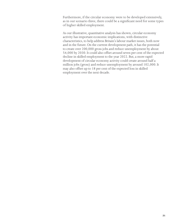Furthermore, if the circular economy were to be developed extensively, as in our scenario three, there could be a significant need for some types of higher skilled employment.

As our illustrative, quantitative analysis has shown, circular economy activity has important economic implications, with distinctive characteristics, to help address Britain's labour market issues, both now and in the future. On the current development path, it has the potential to create over 200,000 gross jobs and reduce unemployment by about 54,000 by 2030. It could also offset around seven per cent of the expected decline in skilled employment to the year 2022. But, a more rapid development of circular economy activity could create around half a million jobs (gross) and reduce unemployment by around 102,000. It may also offset up to 18 per cent of the expected loss in skilled employment over the next decade.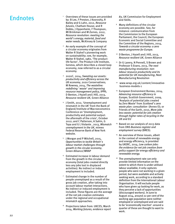# **Endnotes**

- 1 Overviews of these issues are provided by: B Lee, F Preston, J Kooroshy, R Bailey and G Lahn, 2012, *Resource futures*, Chatham House; and R Dobbs, J Oppenheim, F Thompson, Ml Brinkman and M Zornes, 2012, *Resource revolution: meeting the world's energy, material, food and water needs*, McKinsey & Company
- 2 An early example of the concept of a circular economy originates from Walter R Stahel's pioneering work on sustainability; see, for example, Walter R Stahel, 1982, 'The productlife factor', The Product-Life Institute, Geneva, which describes a closed loop economy, now referred to as a circular economy.
- 3 2020C, 2014, *Sweating our assets: productivity and efficiency across the UK economy*, 2020 Conservatives; M Rowney, 2014, *The wasteline: redefining 'waste' and improving resource management policy*, IPPR; D Benton, J Hazell and J Hill, 2013, *Resource resilient UK*, Green Alliance
- 4 J Smith, 2012, 'Unemployment and mismatch in the UK' from the Bank of England/Institute of Macroeconomics Conference on 'Unemployment, productivity and potential output: the aftermath of the crisis', October 2012; and C Patterson, A Sahin, G Topa and G L Violante , 2013, *Mismatch unemployment in the UK*, mimeo Federal Reserve Bank of New York website.
- 5 J Morgan and P Mitchell, 2015, *Opportunities to tackle Britain's labour market challenges through growth in the circular economy*, Green Alliance/WRAP
- 6 Estimated increase in labour demand from the growth in the circular economy (total jobs created directly less any jobs lost in displaced activities). No indirect or induced employment is included.
- 7 Estimated change in the number of people unemployed as a result of the gross job creation, after taking into account labour market interactions. No indirect or induced employment is included. These figures are the average of the net job creation estimates under the regional and occupational mismatch approaches.
- 8 Projections taken from: UKCES, March 2014, *Working futures, evidence report*

*83*, UK Commission for Employment and Skills.

- 9 Many definitions of the circular economy are possible. See, for instance: communication from the Commission to the European Parliament, the Council, the European Economic and Social Committee and the Committee of the Regions, 2014, *Towards a circular economy: a zero waste programme for Europe.*
- 10 D Benton, J Hazell and J Hill, 2013, *Resource resilient UK*, Green Alliance
- <sup>11</sup> Dr G Lavery, N Pennell, S Brown and Professor S Evans, 2013, *The next manufacturing revolution: nonlabour resource productivity and its potential for UK manufacturing*, Next Manufacturing Revolution
- <sup>12</sup> www.wrap.org.uk/content/innovativebusiness-models-1
- 13 European Environment Bureau, 2014, *Advancing resource efficiency in Europe*; Scottish Government, 2009, 'Analysis of potential jobs created by Zero Waste' from *Scotland's zero waste plan: consultation* (Annex O); or Friends of the Earth, 2010, *More jobs less waste: potential for job creation through higher rates of recycling in the UK and EU*
- 14 Based on our analysis of 2013 data from ONS *Business register and employment survey* (BRES).
- <sup>15</sup> An overview of these issues, albeit in the context of renewable energy and energy efficiency, is provided by UKERC, 2014, *Low carbon jobs: the evidence for net job creation from policy support for energy efficiency and renewable energy.*
- <sup>16</sup> The unemployment rate can only provide limited information on the extent to which there is under-utilised labour available; it only captures people who were not working in a given period, but were available and actively seeking work, according to a standard definition from the International Labour Organisation. It will exclude people who have given up looking for work, as they perceive a lack of opportunities (discouraged workers). In June to August 2014, around 22 per cent of the working age population were neither employed or unemployed and are said to be 'economically inactive': around a quarter of these are thought to want to work.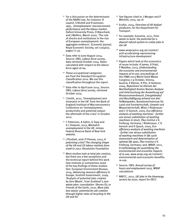- <sup>17</sup> For a discussion on the determinants of the NAIRU see, for instance: R Layard, S Nickell and R Jackman, 1991, *Unemployment: macroeconomic performance and the labour market*, Oxford University Press; O Blanchard, and J Wolfers, March 2000, 'The role of shocks and institutions in the rise of European unemployment: the aggregate evidence', *Economic Journal*, Royal Economic Society, vol 110(462), pages C1-33.
- 18 Data refer to June-August 2014. Source: ONS, *Labour force survey*, data retrieved October 2014. Rates calculated with respect to the labour force aged 16-64.
- 19 These occupational categories are from the Standard Occupation Classification 2010. We use this classification throughout the report.
- 20 Data refer to April-June 2014. Source: ONS, *Labour force survey*, retrieved October 2014
- <sup>21</sup> J Smith, 2012, 'Unemployment and mismatch in the UK' from the Bank of England/Institute of Macroeconomics Conference on 'Unemployment, productivity and potential output: the aftermath of the crisis' in October 2012.
- <sup>22</sup> C Patterson, A Sahin, G Topa and G L Violante, 2013, *Mismatch unemployment in the UK*, mimeo Federal Reserve Bank of New York website.
- 23 J Plunkett, and J P Pessoa, 2013, *A polarising crisis? The changing shape of the UK and US labour markets from 2008 to 2012*, Resolution Foundation
- 24 Most studies look at total job creation, but there are a few exceptions and the technical report behind this work (see endnote 5) summarises some of the key findings of these studies. See: European Environment Bureau, 2014, *Advancing resource efficiency in Europe*; Scottish Government, 2009, 'Analysis of potential jobs created by Zero Waste', from *Scotland's zero waste plan: consultation* (Annex O); or Friends of the Earth, 2010, *More jobs less waste: potential for job creation through higher rates of recycling in the UK and EU*
- 25 See figures cited in: J Morgan and P Mitchell, 2015, op cit
- 26 Ecofys, 2014, *Overview of UK biofuel producers*, for the Department for **Transport**
- 27 For example: Eunomia, 2011, *From waste to work: the potential for a deposit refund system to create jobs in the UK*
- 28 www.wrapcymru.org.uk/content/ arid-accelerating-reprocessinginfrastructure-development
- 29 Papers which look at the economics of reuse include: K James, K Pratt, P Maddox, 2013, *Understanding the economic and environmental impacts of re-use*; proceedings of the ISWA 2013 World Solid Waste Congress 7-9 October, Vienna, Austria: E Kletzer, H Pilz, H Hutterer, 2004, *Reparieren im Dienste der Nachhaltigkeit Kosten-Nutzen-Analyse und Untersuchung der Auswirkung auf Ressourcenverbrauch, Energiebedarf und Beschäftigung anhand von drei Fallbeispielen*, Bundesministerium für Land-und Forstwirtschaft, Umwelt und Wasserwirtschaft, Wien; I Rüdenauer and C O Gensch, 2005, *Eco-efficiency analysis of washing machines - further use versus substitution of washing machines in stock*, Öko-Institut e V, Freiburg, Germany; I Rüdenauer, C O Gensch and D Quack, 2005, *Ecoefficiency analysis of washing machines - further use versus substitution of washing machines in life cycle assessment and determination of optimal life span*, Öko-Institut e V, Freiburg, Germany; and, WRAP, 2011, *A methodology for quantifying the environmental and economic impacts of re-use,* www.wrap.org.uk/content/ environmental-and-economic-benefitsre-use.
- 30 Source: ONS, *Annual survey of hours and employment 2013*, WRAP calculations
- 31 NNFCC, 2012, *UK jobs in the bioenergy sectors by 2020*, report for DECC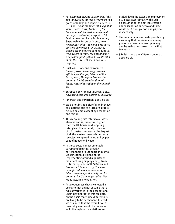- 32 For example: EEA, 2011, *Earnings, jobs and innovation: the role of recycling in a green economy*, EEA report no 8/2011; ILO, 2011, *Skills for green jobs: a global view; Ecotec, 2002, Analysis of the EU eco-industries, their employment and export potential*, a report to DG Environment; All Party Parliamentary Sustainable Resource Group, 2014, *Remanufacturing – towards a resource efficient economy*; SITA UK, 2012, *Driving green growth*; Eunomia, 2011, *From waste to work: the potential for a deposit refund system to create jobs in the UK*; R W Beck inc, 2001, *U.S. recycling*
- 33 Such as: European Environment Bureau, 2014, *Advancing resource efficiency in Europe*; Friends of the Earth, 2010, *More jobs less waste: potential for job creation through higher rates of recycling in the UK and EU*
- 34 European Environment Bureau, 2014, *Advancing resource efficiency in Europe*
- <sup>35</sup> J Morgan and P Mitchell, 2015, op cit
- <sup>36</sup> We do not include biorefining in these calculations due to a lack of suitable figures on employment by occupation and region.
- 37 This recycling rate refers to all waste streams and is, therefore, higher than the UK household recycling rate, given that around 70 per cent of UK construction waste (the largest of all the waste streams) is currently recycled, compared to around 45 per cent of household waste.
- <sup>38</sup> In those sectors most amenable to remanufacturing, broadly corresponding to Standard Industrial Classification divisions 26-30 (representing around a quarter of manufacturing employment), from: Dr G Lavery, N Pennell, S Brown and Professor S Evans, 2013, *The next manufacturing revolution: nonlabour resource productivity and its potential for UK manufacturing*, Next Manufacturing Revolution.
- 39 As a robustness check we tested a scenario that did not assume that a full convergence in the occupational unemployment rates was feasible, on the basis that some differentials are likely to be permanent. Instead we assumed that the overall excess unemployment would be the same as in the regional calculations and

scaled down the excess unemployment estimates accordingly. With such an assumption, the net job creation under scenarios one, two and three would be 8,000, 56,000 and 92,000 respectively.

- 40 The comparison was made possible by assuming that the circular economy grows in a linear manner up to 2030 and by estimating growth in the first ten years.
- 41 J Smith, 2013; and C Patterson, et al, 2013, op cit